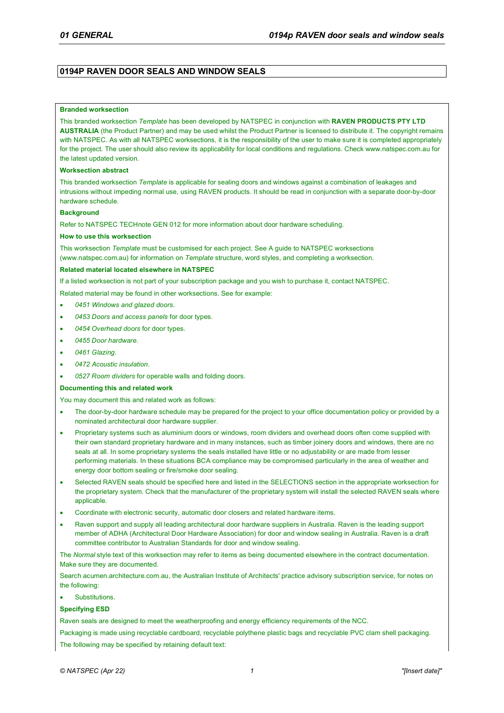#### **0194P RAVEN DOOR SEALS AND WINDOW SEALS**

#### **Branded worksection**

This branded worksection *Template* has been developed by NATSPEC in conjunction with **RAVEN PRODUCTS PTY LTD AUSTRALIA** (the Product Partner) and may be used whilst the Product Partner is licensed to distribute it. The copyright remains with NATSPEC. As with all NATSPEC worksections, it is the responsibility of the user to make sure it is completed appropriately for the project. The user should also review its applicability for local conditions and regulations. Check [www.natspec.com.au](http://www.natspec.com.au/) for the latest updated version.

#### **Worksection abstract**

This branded worksection *Template* is applicable for sealing doors and windows against a combination of leakages and intrusions without impeding normal use, using RAVEN products. It should be read in conjunction with a separate door-by-door hardware schedule.

#### **Background**

Refer to NATSPEC TECHnote GEN 012 for more information about door hardware scheduling.

#### **How to use this worksection**

This worksection *Template* must be customised for each project. Se[e A guide to NATSPEC worksections](https://www.natspec.com.au/a-guide-to-natspec-worksections) [\(www.natspec.com.au\)](https://www.natspec.com.au/a-guide-to-natspec-worksections) for information on *Template* structure, word styles, and completing a worksection.

#### **Related material located elsewhere in NATSPEC**

If a listed worksection is not part of your subscription package and you wish to purchase it, contact NATSPEC.

Related material may be found in other worksections. See for example:

- *0451 Windows and glazed doors*.
- *0453 Doors and access panels* for door types.
- *0454 Overhead doors* for door types.
- *0455 Door hardware*.
- *0461 Glazing*.
- *0472 Acoustic insulation*.
- *0527 Room dividers* for operable walls and folding doors.

#### **Documenting this and related work**

You may document this and related work as follows:

- The door-by-door hardware schedule may be prepared for the project to your office documentation policy or provided by a nominated architectural door hardware supplier.
- Proprietary systems such as aluminium doors or windows, room dividers and overhead doors often come supplied with their own standard proprietary hardware and in many instances, such as timber joinery doors and windows, there are no seals at all. In some proprietary systems the seals installed have little or no adjustability or are made from lesser performing materials. In these situations BCA compliance may be compromised particularly in the area of weather and energy door bottom sealing or fire/smoke door sealing.
- Selected RAVEN seals should be specified here and listed in the SELECTIONS section in the appropriate worksection for the proprietary system. Check that the manufacturer of the proprietary system will install the selected RAVEN seals where applicable.
- Coordinate with electronic security, automatic door closers and related hardware items.
- Raven support and supply all leading architectural door hardware suppliers in Australia. Raven is the leading support member of [ADHA \(Architectural Door Hardware Association\)](http://www.adha.net.au/) for door and window sealing in Australia. Raven is a draft committee contributor to Australian Standards for door and window sealing.

The *Normal* style text of this worksection may refer to items as being documented elsewhere in the contract documentation. Make sure they are documented.

Searc[h acumen.architecture.com.au,](http://acumen.architecture.com.au/) the Australian Institute of Architects' practice advisory subscription service, for notes on the following:

**Substitutions** 

#### **Specifying ESD**

Raven seals are designed to meet the weatherproofing and energy efficiency requirements of the NCC.

Packaging is made using recyclable cardboard, recyclable polythene plastic bags and recyclable PVC clam shell packaging. The following may be specified by retaining default text: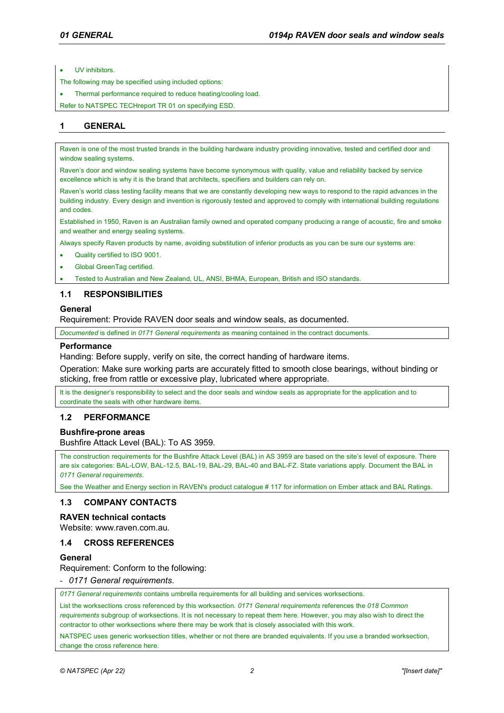- UV inhibitors.
- The following may be specified using included options:
- Thermal performance required to reduce heating/cooling load.

Refer to NATSPEC TECHreport TR 01 on specifying ESD.

#### **1 GENERAL**

Raven is one of the most trusted brands in the building hardware industry providing innovative, tested and certified door and window sealing systems.

Raven's door and window sealing systems have become synonymous with quality, value and reliability backed by service excellence which is why it is the brand that architects, specifiers and builders can rely on.

Raven's world class testing facility means that we are constantly developing new ways to respond to the rapid advances in the building industry. Every design and invention is rigorously tested and approved to comply with international building regulations and codes.

Established in 1950, Raven is an Australian family owned and operated company producing a range of acoustic, fire and smoke and weather and energy sealing systems.

Always specify Raven products by name, avoiding substitution of inferior products as you can be sure our systems are:

- Quality certified to ISO 9001.
- Global GreenTag certified.
- Tested to Australian and New Zealand, UL, ANSI, BHMA, European, British and ISO standards.

#### **1.1 RESPONSIBILITIES**

#### **General**

Requirement: Provide RAVEN door seals and window seals, as documented.

*Documented* is defined in *0171 General requirements* as meaning contained in the contract documents.

#### **Performance**

Handing: Before supply, verify on site, the correct handing of hardware items.

Operation: Make sure working parts are accurately fitted to smooth close bearings, without binding or sticking, free from rattle or excessive play, lubricated where appropriate.

It is the designer's responsibility to select and the door seals and window seals as appropriate for the application and to coordinate the seals with other hardware items.

#### **1.2 PERFORMANCE**

#### **Bushfire-prone areas**

Bushfire Attack Level (BAL): To AS 3959.

The construction requirements for the Bushfire Attack Level (BAL) in AS 3959 are based on the site's level of exposure. There are six categories: BAL-LOW, BAL-12.5, BAL-19, BAL-29, BAL-40 and BAL-FZ. State variations apply. Document the BAL in *0171 General requirements*.

See the Weather and Energy section in RAVEN's product catalogue # 117 for information on Ember attack and BAL Ratings.

#### **1.3 COMPANY CONTACTS**

#### **RAVEN technical contacts**

Website: [www.raven.com.au.](http://www.raven.com.au/)

#### **1.4 CROSS REFERENCES**

#### **General**

Requirement: Conform to the following:

- *0171 General requirements*.

*0171 General requirements* contains umbrella requirements for all building and services worksections.

List the worksections cross referenced by this worksection. *0171 General requirements* references the *018 Common requirements* subgroup of worksections. It is not necessary to repeat them here. However, you may also wish to direct the contractor to other worksections where there may be work that is closely associated with this work.

NATSPEC uses generic worksection titles, whether or not there are branded equivalents. If you use a branded worksection, change the cross reference here.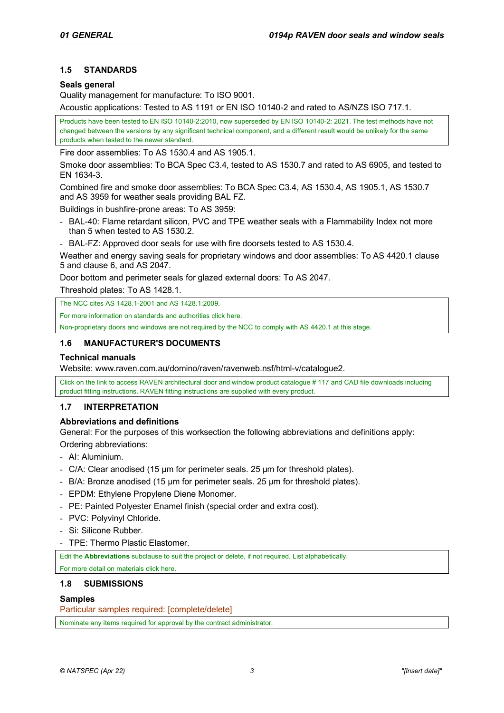## **1.5 STANDARDS**

#### **Seals general**

Quality management for manufacture: To ISO 9001.

Acoustic applications: Tested to AS 1191 or EN ISO 10140-2 and rated to AS/NZS ISO 717.1.

Products have been tested to EN ISO 10140-2:2010, now superseded by EN ISO 10140-2: 2021. The test methods have not changed between the versions by any significant technical component, and a different result would be unlikely for the same products when tested to the newer standard.

Fire door assemblies: To AS 1530.4 and AS 1905.1.

Smoke door assemblies: To BCA Spec C3.4, tested to AS 1530.7 and rated to AS 6905, and tested to EN 1634-3.

Combined fire and smoke door assemblies: To BCA Spec C3.4, AS 1530.4, AS 1905.1, AS 1530.7 and AS 3959 for weather seals providing BAL FZ.

Buildings in bushfire-prone areas: To AS 3959:

- BAL-40: Flame retardant silicon, PVC and TPE weather seals with a Flammability Index not more than 5 when tested to AS 1530.2.
- BAL-FZ: Approved door seals for use with fire doorsets tested to AS 1530.4.

Weather and energy saving seals for proprietary windows and door assemblies: To AS 4420.1 clause 5 and clause 6, and AS 2047.

Door bottom and perimeter seals for glazed external doors: To AS 2047.

Threshold plates: To AS 1428.1.

The NCC cites AS 1428.1-2001 and AS 1428.1:2009.

For more information on standards and authorities [click here.](http://www.raven.com.au/domino/raven/ravenweb.nsf/gene-v/040) 

Non-proprietary doors and windows are not required by the NCC to comply with AS 4420.1 at this stage.

## **1.6 MANUFACTURER'S DOCUMENTS**

## **Technical manuals**

Website: [www.raven.com.au/domino/raven/ravenweb.nsf/html-v/catalogue2.](http://www.raven.com.au/domino/raven/ravenweb.nsf/html-v/catalogue2)

Click on the link to access RAVEN architectural door and window product catalogue # 117 and CAD file downloads including product fitting instructions. RAVEN fitting instructions are supplied with every product.

## **1.7 INTERPRETATION**

## **Abbreviations and definitions**

General: For the purposes of this worksection the following abbreviations and definitions apply:

- Ordering abbreviations:
- AI: Aluminium.
- C/A: Clear anodised (15 µm for perimeter seals. 25 µm for threshold plates).
- B/A: Bronze anodised (15 µm for perimeter seals. 25 µm for threshold plates).
- EPDM: Ethylene Propylene Diene Monomer.
- PE: Painted Polyester Enamel finish (special order and extra cost).
- PVC: Polyvinyl Chloride.
- Si: Silicone Rubber.
- TPE: Thermo Plastic Elastomer.

Edit the **Abbreviations** subclause to suit the project or delete, if not required. List alphabetically.

For more detail on material[s click here.](http://www.raven.com.au/domino/raven/ravenweb.nsf/gene-v/020) 

## **1.8 SUBMISSIONS**

#### **Samples**

Particular samples required: [complete/delete]

Nominate any items required for approval by the contract administrator.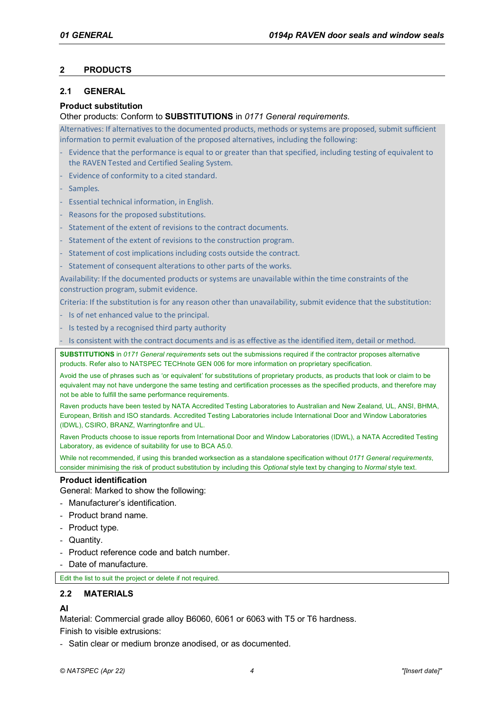## **2 PRODUCTS**

#### **2.1 GENERAL**

#### **Product substitution**

#### Other products: Conform to **SUBSTITUTIONS** in *0171 General requirements*.

Alternatives: If alternatives to the documented products, methods or systems are proposed, submit sufficient information to permit evaluation of the proposed alternatives, including the following:

- Evidence that the performance is equal to or greater than that specified, including testing of equivalent to the RAVEN Tested and Certified Sealing System.
- Evidence of conformity to a cited standard.
- Samples.
- Essential technical information, in English.
- Reasons for the proposed substitutions.
- Statement of the extent of revisions to the contract documents.
- Statement of the extent of revisions to the construction program.
- Statement of cost implications including costs outside the contract.
- Statement of consequent alterations to other parts of the works.

Availability: If the documented products or systems are unavailable within the time constraints of the construction program, submit evidence.

Criteria: If the substitution is for any reason other than unavailability, submit evidence that the substitution:

- Is of net enhanced value to the principal.
- Is tested by a recognised third party authority
- Is consistent with the contract documents and is as effective as the identified item, detail or method.

**SUBSTITUTIONS** in *0171 General requirements* sets out the submissions required if the contractor proposes alternative products. Refer also to NATSPEC TECHnote GEN 006 for more information on proprietary specification.

Avoid the use of phrases such as 'or equivalent' for substitutions of proprietary products, as products that look or claim to be equivalent may not have undergone the same testing and certification processes as the specified products, and therefore may not be able to fulfill the same performance requirements.

Raven products have been tested by NATA Accredited Testing Laboratories to Australian and New Zealand, UL, ANSI, BHMA, European, British and ISO standards. Accredited Testing Laboratories include International Door and Window Laboratories (IDWL), CSIRO, BRANZ, Warringtonfire and UL.

Raven Products choose to issue reports from International Door and Window Laboratories (IDWL), a NATA Accredited Testing Laboratory, as evidence of suitability for use to BCA A5.0.

While not recommended, if using this branded worksection as a standalone specification without *0171 General requirements*, consider minimising the risk of product substitution by including this *Optional* style text by changing to *Normal* style text.

## **Product identification**

General: Marked to show the following:

- Manufacturer's identification.
- Product brand name.
- Product type.
- Quantity.
- Product reference code and batch number.
- Date of manufacture.

Edit the list to suit the project or delete if not required.

## **2.2 MATERIALS**

## **AI**

Material: Commercial grade alloy B6060, 6061 or 6063 with T5 or T6 hardness.

Finish to visible extrusions:

- Satin clear or medium bronze anodised, or as documented.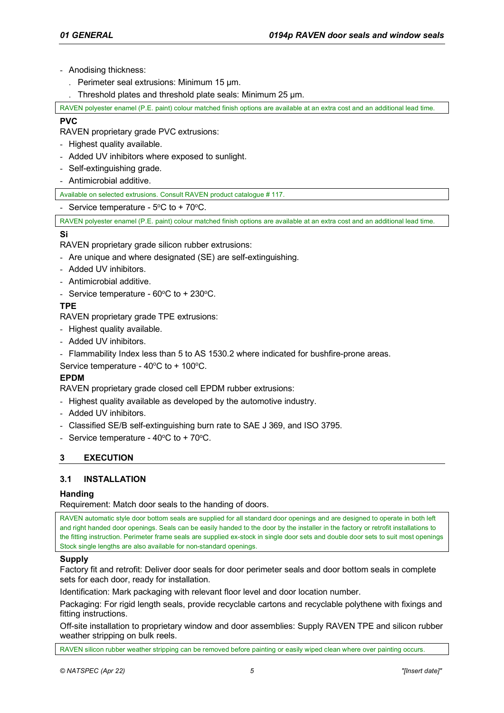- Anodising thickness:
	- . Perimeter seal extrusions: Minimum 15 µm.
		- . Threshold plates and threshold plate seals: Minimum 25 µm.

RAVEN polyester enamel (P.E. paint) colour matched finish options are available at an extra cost and an additional lead time.

## **PVC**

RAVEN proprietary grade PVC extrusions:

- Highest quality available.
- Added UV inhibitors where exposed to sunlight.
- Self-extinguishing grade.
- Antimicrobial additive.

Available on selected extrusions. Consult RAVEN product catalogue # 117.

- Service temperature -  $5^{\circ}$ C to +  $70^{\circ}$ C.

RAVEN polyester enamel (P.E. paint) colour matched finish options are available at an extra cost and an additional lead time.

## **Si**

RAVEN proprietary grade silicon rubber extrusions:

- Are unique and where designated (SE) are self-extinguishing.
- Added UV inhibitors.
- Antimicrobial additive.
- Service temperature  $60^{\circ}$ C to + 230 $^{\circ}$ C.

## **TPE**

RAVEN proprietary grade TPE extrusions:

- Highest quality available.
- Added UV inhibitors.

- Flammability Index less than 5 to AS 1530.2 where indicated for bushfire-prone areas.

Service temperature -  $40^{\circ}$ C to +  $100^{\circ}$ C.

## **EPDM**

RAVEN proprietary grade closed cell EPDM rubber extrusions:

- Highest quality available as developed by the automotive industry.
- Added UV inhibitors.
- Classified SE/B self-extinguishing burn rate to SAE J 369, and ISO 3795.
- Service temperature  $40^{\circ}$ C to +  $70^{\circ}$ C.

# **3 EXECUTION**

## **3.1 INSTALLATION**

## **Handing**

Requirement: Match door seals to the handing of doors.

RAVEN automatic style door bottom seals are supplied for all standard door openings and are designed to operate in both left and right handed door openings. Seals can be easily handed to the door by the installer in the factory or retrofit installations to the fitting instruction. Perimeter frame seals are supplied ex-stock in single door sets and double door sets to suit most openings Stock single lengths are also available for non-standard openings.

## **Supply**

Factory fit and retrofit: Deliver door seals for door perimeter seals and door bottom seals in complete sets for each door, ready for installation.

Identification: Mark packaging with relevant floor level and door location number.

Packaging: For rigid length seals, provide recyclable cartons and recyclable polythene with fixings and fitting instructions.

Off-site installation to proprietary window and door assemblies: Supply RAVEN TPE and silicon rubber weather stripping on bulk reels.

RAVEN silicon rubber weather stripping can be removed before painting or easily wiped clean where over painting occurs.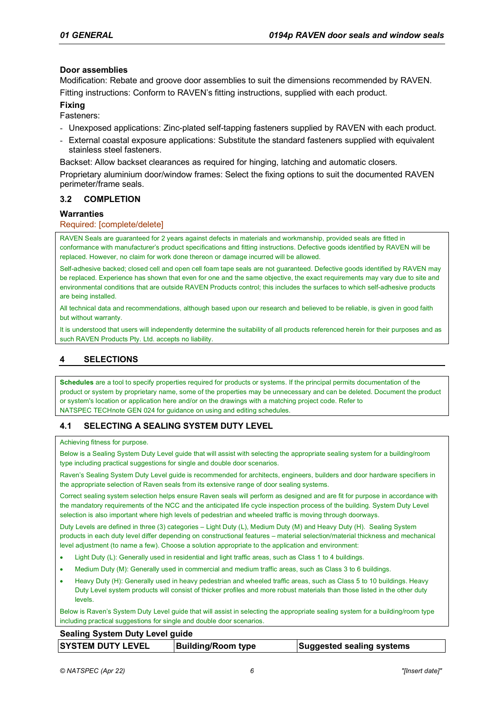## **Door assemblies**

Modification: Rebate and groove door assemblies to suit the dimensions recommended by RAVEN. Fitting instructions: Conform to RAVEN's fitting instructions, supplied with each product.

## **Fixing**

Fasteners:

- Unexposed applications: Zinc-plated self-tapping fasteners supplied by RAVEN with each product.
- External coastal exposure applications: Substitute the standard fasteners supplied with equivalent stainless steel fasteners.

Backset: Allow backset clearances as required for hinging, latching and automatic closers. Proprietary aluminium door/window frames: Select the fixing options to suit the documented RAVEN perimeter/frame seals.

## **3.2 COMPLETION**

#### **Warranties**

#### Required: [complete/delete]

RAVEN Seals are guaranteed for 2 years against defects in materials and workmanship, provided seals are fitted in conformance with manufacturer's product specifications and fitting instructions. Defective goods identified by RAVEN will be replaced. However, no claim for work done thereon or damage incurred will be allowed.

Self-adhesive backed; closed cell and open cell foam tape seals are not guaranteed. Defective goods identified by RAVEN may be replaced. Experience has shown that even for one and the same objective, the exact requirements may vary due to site and environmental conditions that are outside RAVEN Products control; this includes the surfaces to which self-adhesive products are being installed.

All technical data and recommendations, although based upon our research and believed to be reliable, is given in good faith but without warranty.

It is understood that users will independently determine the suitability of all products referenced herein for their purposes and as such RAVEN Products Pty. Ltd. accepts no liability.

# **4 SELECTIONS**

**Schedules** are a tool to specify properties required for products or systems. If the principal permits documentation of the product or system by proprietary name, some of the properties may be unnecessary and can be deleted. Document the product or system's location or application here and/or on the drawings with a matching project code. Refer to NATSPEC TECHnote GEN 024 for guidance on using and editing schedules.

# **4.1 SELECTING A SEALING SYSTEM DUTY LEVEL**

Achieving fitness for purpose.

Below is a Sealing System Duty Level guide that will assist with selecting the appropriate sealing system for a building/room type including practical suggestions for single and double door scenarios.

Raven's Sealing System Duty Level guide is recommended for architects, engineers, builders and door hardware specifiers in the appropriate selection of Raven seals from its extensive range of door sealing systems.

Correct sealing system selection helps ensure Raven seals will perform as designed and are fit for purpose in accordance with the mandatory requirements of the NCC and the anticipated life cycle inspection process of the building. System Duty Level selection is also important where high levels of pedestrian and wheeled traffic is moving through doorways.

Duty Levels are defined in three (3) categories – Light Duty (L), Medium Duty (M) and Heavy Duty (H). Sealing System products in each duty level differ depending on constructional features – material selection/material thickness and mechanical level adjustment (to name a few). Choose a solution appropriate to the application and environment:

- Light Duty (L): Generally used in residential and light traffic areas, such as Class 1 to 4 buildings.
- Medium Duty (M): Generally used in commercial and medium traffic areas, such as Class 3 to 6 buildings.
- Heavy Duty (H): Generally used in heavy pedestrian and wheeled traffic areas, such as Class 5 to 10 buildings. Heavy Duty Level system products will consist of thicker profiles and more robust materials than those listed in the other duty levels.

Below is Raven's System Duty Level guide that will assist in selecting the appropriate sealing system for a building/room type including practical suggestions for single and double door scenarios.

# **Sealing System Duty Level guide**

| <b>SYSTEM DUTY LEVEL</b> | <b>Building/Room type</b> | Suggested sealing systems |
|--------------------------|---------------------------|---------------------------|
|                          |                           |                           |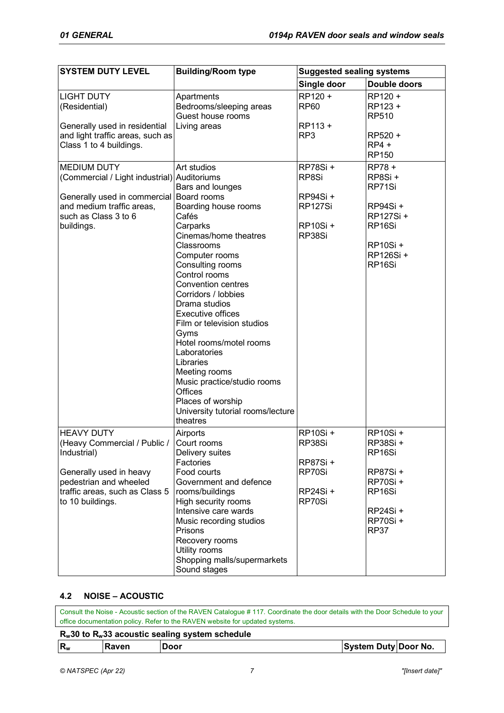| <b>SYSTEM DUTY LEVEL</b>                                                                                                                                                                | <b>Building/Room type</b>                                                                                                                                                                                                                                                                                                                                                                                                                                                                                                        | <b>Suggested sealing systems</b>                                    |                                                                                                                   |
|-----------------------------------------------------------------------------------------------------------------------------------------------------------------------------------------|----------------------------------------------------------------------------------------------------------------------------------------------------------------------------------------------------------------------------------------------------------------------------------------------------------------------------------------------------------------------------------------------------------------------------------------------------------------------------------------------------------------------------------|---------------------------------------------------------------------|-------------------------------------------------------------------------------------------------------------------|
|                                                                                                                                                                                         |                                                                                                                                                                                                                                                                                                                                                                                                                                                                                                                                  | Single door                                                         | Double doors                                                                                                      |
| <b>LIGHT DUTY</b><br>(Residential)<br>Generally used in residential<br>and light traffic areas, such as<br>Class 1 to 4 buildings.                                                      | Apartments<br>Bedrooms/sleeping areas<br>Guest house rooms<br>Living areas                                                                                                                                                                                                                                                                                                                                                                                                                                                       | RP120+<br><b>RP60</b><br>RP113+<br>RP <sub>3</sub>                  | RP120+<br>RP123+<br>RP510<br>RP520 +<br>$RP4 +$<br><b>RP150</b>                                                   |
| <b>MEDIUM DUTY</b><br>(Commercial / Light industrial) Auditoriums<br>Generally used in commercial<br>and medium traffic areas,<br>such as Class 3 to 6<br>buildings.                    | Art studios<br>Bars and lounges<br><b>Board rooms</b><br>Boarding house rooms<br>Cafés<br>Carparks<br>Cinemas/home theatres<br>Classrooms<br>Computer rooms<br>Consulting rooms<br>Control rooms<br><b>Convention centres</b><br>Corridors / lobbies<br>Drama studios<br><b>Executive offices</b><br>Film or television studios<br>Gyms<br>Hotel rooms/motel rooms<br>Laboratories<br>Libraries<br>Meeting rooms<br>Music practice/studio rooms<br>Offices<br>Places of worship<br>University tutorial rooms/lecture<br>theatres | RP78Si+<br>RP8Si<br>RP94Si+<br>RP127Si<br><b>RP10Si +</b><br>RP38Si | RP78 +<br>RP8Si+<br>RP71Si<br>RP94Si+<br>RP127Si +<br>RP <sub>16Si</sub><br>RP10Si+<br>RP126Si +<br>RP16Si        |
| <b>HEAVY DUTY</b><br>(Heavy Commercial / Public / Court rooms<br>Industrial)<br>Generally used in heavy<br>pedestrian and wheeled<br>traffic areas, such as Class 5<br>to 10 buildings. | Airports<br>Delivery suites<br>Factories<br>Food courts<br>Government and defence<br>rooms/buildings<br>High security rooms<br>Intensive care wards<br>Music recording studios<br>Prisons<br>Recovery rooms<br>Utility rooms<br>Shopping malls/supermarkets<br>Sound stages                                                                                                                                                                                                                                                      | RP10Si+<br>RP38Si<br><b>RP87Si +</b><br>RP70Si<br>RP24Si+<br>RP70Si | <b>RP10Si +</b><br>RP38Si+<br>RP16Si<br><b>RP87Si +</b><br>RP70Si+<br>RP16Si<br>RP24Si+<br>RP70Si+<br><b>RP37</b> |

# **4.2 NOISE – ACOUSTIC**

Consult the Noise - Acoustic section of the RAVEN Catalogue # 117. Coordinate the door details with the Door Schedule to your office documentation policy. Refer to the RAVEN website for updated systems.

| $R_w$ 30 to $R_w$ 33 acoustic sealing system schedule |        |       |                      |  |  |
|-------------------------------------------------------|--------|-------|----------------------|--|--|
| $R_w$                                                 | lRaven | ⊥Door | System Duty Door No. |  |  |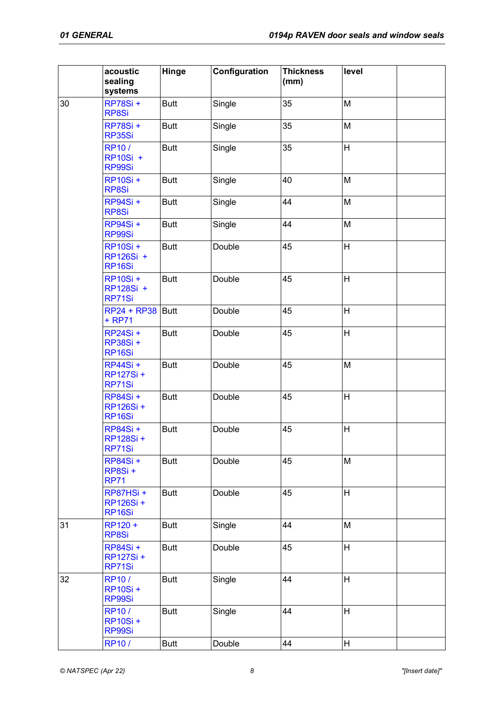|    | acoustic<br>sealing<br>systems                           | Hinge       | Configuration | <b>Thickness</b><br>(mm) | level                   |  |
|----|----------------------------------------------------------|-------------|---------------|--------------------------|-------------------------|--|
| 30 | <b>RP78Si +</b><br>RP8Si                                 | <b>Butt</b> | Single        | 35                       | M                       |  |
|    | RP78Si+<br>RP35Si                                        | <b>Butt</b> | Single        | 35                       | M                       |  |
|    | <b>RP10/</b><br><b>RP10Si +</b><br>RP99Si                | <b>Butt</b> | Single        | 35                       | H                       |  |
|    | <b>RP10Si +</b><br>RP8Si                                 | <b>Butt</b> | Single        | 40                       | M                       |  |
|    | RP94Si+<br>RP8Si                                         | <b>Butt</b> | Single        | 44                       | M                       |  |
|    | RP94Si+<br>RP99Si                                        | <b>Butt</b> | Single        | 44                       | M                       |  |
|    | <b>RP10Si +</b><br>RP126Si +<br>RP <sub>16Si</sub>       | <b>Butt</b> | Double        | 45                       | $\overline{\mathsf{H}}$ |  |
|    | <b>RP10Si +</b><br>RP128Si +<br>RP71Si                   | <b>Butt</b> | Double        | 45                       | $\overline{\mathsf{H}}$ |  |
|    | <b>RP24 + RP38</b><br>+ RP71                             | Butt        | Double        | 45                       | H                       |  |
|    | <b>RP24Si +</b><br><b>RP38Si +</b><br>RP <sub>16Si</sub> | <b>Butt</b> | Double        | 45                       | $\overline{\mathsf{H}}$ |  |
|    | RP44Si+<br><b>RP127Si +</b><br>RP71Si                    | <b>Butt</b> | Double        | 45                       | M                       |  |
|    | RP84Si+<br>RP126Si +<br>RP <sub>16Si</sub>               | <b>Butt</b> | Double        | 45                       | H                       |  |
|    | RP84Si+<br><b>RP128Si +</b><br>RP71Si                    | <b>Butt</b> | Double        | 45                       | H                       |  |
|    | RP84Si+<br>RP8Si+<br><b>RP71</b>                         | <b>Butt</b> | Double        | 45                       | M                       |  |
|    | RP87HSi+<br><b>RP126Si +</b><br>RP <sub>16Si</sub>       | <b>Butt</b> | Double        | 45                       | H                       |  |
| 31 | RP120+<br>RP8Si                                          | <b>Butt</b> | Single        | 44                       | M                       |  |
|    | RP84Si+<br><b>RP127Si +</b><br>RP71Si                    | <b>Butt</b> | Double        | 45                       | H                       |  |
| 32 | <b>RP10/</b><br><b>RP10Si +</b><br>RP99Si                | <b>Butt</b> | Single        | 44                       | H                       |  |
|    | <b>RP10/</b><br><b>RP10Si +</b><br>RP99Si                | <b>Butt</b> | Single        | 44                       | H                       |  |
|    | <b>RP10/</b>                                             | <b>Butt</b> | Double        | 44                       | H                       |  |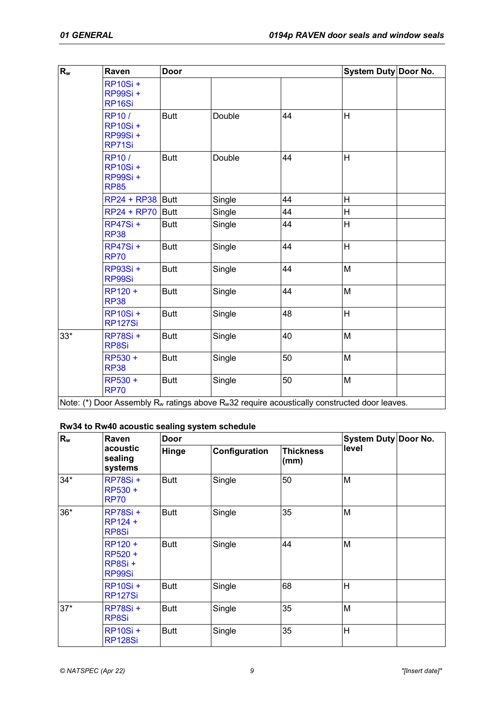| $\mathbf{R}_{\mathbf{w}}$ | Raven                                                     | <b>Door</b> |        |    |                                                                                                                      | <b>System Duty Door No.</b> |  |  |
|---------------------------|-----------------------------------------------------------|-------------|--------|----|----------------------------------------------------------------------------------------------------------------------|-----------------------------|--|--|
|                           | <b>RP10Si+</b><br>RP99Si+<br>RP <sub>16Si</sub>           |             |        |    |                                                                                                                      |                             |  |  |
|                           | <b>RP10/</b><br><b>RP10Si+</b><br>RP99Si+<br>RP71Si       | <b>Butt</b> | Double | 44 | H                                                                                                                    |                             |  |  |
|                           | <b>RP10/</b><br><b>RP10Si +</b><br>RP99Si+<br><b>RP85</b> | <b>Butt</b> | Double | 44 | H                                                                                                                    |                             |  |  |
|                           | $RP24 + RP38$ Butt                                        |             | Single | 44 | H                                                                                                                    |                             |  |  |
|                           | <b>RP24 + RP70</b>                                        | <b>Butt</b> | Single | 44 | H                                                                                                                    |                             |  |  |
|                           | <b>RP47Si +</b><br><b>RP38</b>                            | <b>Butt</b> | Single | 44 | H                                                                                                                    |                             |  |  |
|                           | <b>RP47Si +</b><br><b>RP70</b>                            | <b>Butt</b> | Single | 44 | H                                                                                                                    |                             |  |  |
|                           | <b>RP93Si +</b><br>RP99Si                                 | <b>Butt</b> | Single | 44 | M                                                                                                                    |                             |  |  |
|                           | RP120 +<br><b>RP38</b>                                    | <b>Butt</b> | Single | 44 | M                                                                                                                    |                             |  |  |
|                           | <b>RP10Si +</b><br><b>RP127Si</b>                         | <b>Butt</b> | Single | 48 | H                                                                                                                    |                             |  |  |
| $33*$                     | RP78Si+<br>RP8Si                                          | <b>Butt</b> | Single | 40 | M                                                                                                                    |                             |  |  |
|                           | RP530+<br><b>RP38</b>                                     | <b>Butt</b> | Single | 50 | M                                                                                                                    |                             |  |  |
|                           | RP530+<br><b>RP70</b>                                     | <b>Butt</b> | Single | 50 | M                                                                                                                    |                             |  |  |
|                           |                                                           |             |        |    | Note: (*) Door Assembly R <sub>w</sub> ratings above R <sub>w</sub> 32 require acoustically constructed door leaves. |                             |  |  |

# **Rw34 to Rw40 acoustic sealing system schedule**

| $R_w$ | Raven                                | <b>Door</b> |               | System Duty Door No.     |                |  |
|-------|--------------------------------------|-------------|---------------|--------------------------|----------------|--|
|       | acoustic<br>sealing<br>systems       | Hinge       | Configuration | <b>Thickness</b><br>(mm) | level          |  |
| $34*$ | RP78Si+<br>RP530 +<br><b>RP70</b>    | <b>Butt</b> | Single        | 50                       | M              |  |
| $36*$ | RP78Si+<br>RP124 +<br>RP8Si          | <b>Butt</b> | Single        | 35                       | M              |  |
|       | RP120+<br>RP520+<br>RP8Si+<br>RP99Si | <b>Butt</b> | Single        | 44                       | M              |  |
|       | <b>RP10Si +</b><br>RP127Si           | <b>Butt</b> | Single        | 68                       | H              |  |
| $37*$ | RP78Si+<br>RP8Si                     | <b>Butt</b> | Single        | 35                       | M              |  |
|       | <b>RP10Si +</b><br><b>RP128Si</b>    | <b>Butt</b> | Single        | 35                       | $\overline{H}$ |  |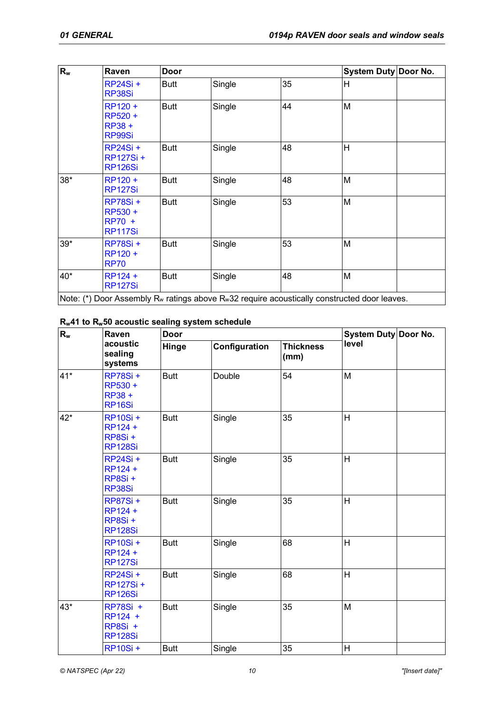| $R_w$ | Raven                                                                                             | <b>Door</b> |        |    |   | System Duty Door No. |
|-------|---------------------------------------------------------------------------------------------------|-------------|--------|----|---|----------------------|
|       | <b>RP24Si +</b><br>RP38Si                                                                         | <b>Butt</b> | Single | 35 | H |                      |
|       | RP120 +<br>RP520+<br><b>RP38 +</b><br>RP99Si                                                      | <b>Butt</b> | Single | 44 | M |                      |
|       | <b>RP24Si +</b><br><b>RP127Si +</b><br>RP <sub>126Si</sub>                                        | <b>Butt</b> | Single | 48 | H |                      |
| $38*$ | RP120+<br>RP <sub>127Si</sub>                                                                     | <b>Butt</b> | Single | 48 | M |                      |
|       | <b>RP78Si +</b><br>RP530+<br>RP70 +<br>RP117Si                                                    | <b>Butt</b> | Single | 53 | M |                      |
| $39*$ | <b>RP78Si +</b><br>RP120+<br><b>RP70</b>                                                          | <b>Butt</b> | Single | 53 | M |                      |
| $40*$ | $RP124 +$<br><b>RP127Si</b>                                                                       | <b>Butt</b> | Single | 48 | M |                      |
|       | Note: (*) Door Assembly $R_w$ ratings above $R_w32$ require acoustically constructed door leaves. |             |        |    |   |                      |

# **Rw41 to Rw50 acoustic sealing system schedule**

| $R_w$ | Raven                                                   | <b>Door</b> |               | System Duty Door No.     |       |
|-------|---------------------------------------------------------|-------------|---------------|--------------------------|-------|
|       | acoustic<br>sealing<br>systems                          | Hinge       | Configuration | <b>Thickness</b><br>(mm) | level |
| $41*$ | RP78Si+<br>RP530+<br><b>RP38+</b><br>RP <sub>16Si</sub> | <b>Butt</b> | Double        | 54                       | M     |
| $42*$ | <b>RP10Si +</b><br>RP124 +<br>RP8Si+<br><b>RP128Si</b>  | <b>Butt</b> | Single        | 35                       | H     |
|       | RP24Si+<br>RP124 +<br>RP8Si+<br>RP38Si                  | <b>Butt</b> | Single        | 35                       | H     |
|       | <b>RP87Si +</b><br>RP124 +<br>RP8Si+<br><b>RP128Si</b>  | <b>Butt</b> | Single        | 35                       | H     |
|       | <b>RP10Si +</b><br>RP124 +<br><b>RP127Si</b>            | <b>Butt</b> | Single        | 68                       | H     |
|       | RP24Si+<br><b>RP127Si +</b><br><b>RP126Si</b>           | <b>Butt</b> | Single        | 68                       | H     |
| $43*$ | RP78Si +<br>RP124 +<br>RP8Si +<br><b>RP128Si</b>        | <b>Butt</b> | Single        | 35                       | M     |
|       | <b>RP10Si +</b>                                         | <b>Butt</b> | Single        | 35                       | H     |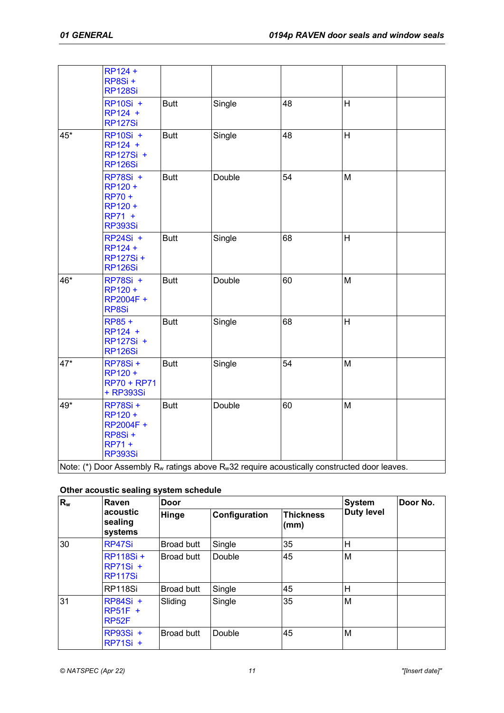|       | RP124 +<br>RP8Si+<br>RP128Si                                                    |             |                                                                                                                      |    |                         |  |
|-------|---------------------------------------------------------------------------------|-------------|----------------------------------------------------------------------------------------------------------------------|----|-------------------------|--|
|       | RP10Si +<br>RP124 +<br><b>RP127Si</b>                                           | <b>Butt</b> | Single                                                                                                               | 48 | $\overline{\mathsf{H}}$ |  |
| $45*$ | RP10Si +<br>RP124 +<br>RP127Si +<br>RP126Si                                     | <b>Butt</b> | Single                                                                                                               | 48 | H                       |  |
|       | <b>RP78Si +</b><br>RP120+<br><b>RP70+</b><br>RP120+<br>RP71 +<br><b>RP393Si</b> | <b>Butt</b> | Double                                                                                                               | 54 | M                       |  |
|       | RP24Si +<br>RP124 +<br><b>RP127Si +</b><br>RP126Si                              | <b>Butt</b> | Single                                                                                                               | 68 | H                       |  |
| 46*   | <b>RP78Si +</b><br>RP120+<br>RP2004F +<br>RP8Si                                 | <b>Butt</b> | Double                                                                                                               | 60 | M                       |  |
|       | <b>RP85 +</b><br>RP124 +<br>RP127Si +<br>RP126Si                                | <b>Butt</b> | Single                                                                                                               | 68 | $\overline{H}$          |  |
| $47*$ | RP78Si+<br>RP120+<br><b>RP70 + RP71</b><br>+ RP393Si                            | <b>Butt</b> | Single                                                                                                               | 54 | M                       |  |
| 49*   | <b>RP78Si +</b><br>RP120+<br>RP2004F +<br>RP8Si+<br>RP71+<br><b>RP393Si</b>     | <b>Butt</b> | Double                                                                                                               | 60 | M                       |  |
|       |                                                                                 |             | Note: (*) Door Assembly R <sub>w</sub> ratings above R <sub>w</sub> 32 require acoustically constructed door leaves. |    |                         |  |

## **Other acoustic sealing system schedule**

| $R_w$ | Raven                                      | Door              |               | <b>System</b>            | Door No.   |  |
|-------|--------------------------------------------|-------------------|---------------|--------------------------|------------|--|
|       | acoustic<br>sealing<br>systems             | Hinge             | Configuration | <b>Thickness</b><br>(mm) | Duty level |  |
| 30    | RP47Si                                     | Broad butt        | Single        | 35                       | ΙH         |  |
|       | RP118Si +<br>RP71Si +<br><b>RP117Si</b>    | Broad butt        | Double        | 45                       | M          |  |
|       | RP118Si                                    | <b>Broad butt</b> | Single        | 45                       | H          |  |
| 31    | <b>RP84Si +</b><br><b>RP51F +</b><br>RP52F | Sliding           | Single        | 35                       | M          |  |
|       | RP93Si +<br>$RP71Si +$                     | Broad butt        | Double        | 45                       | M          |  |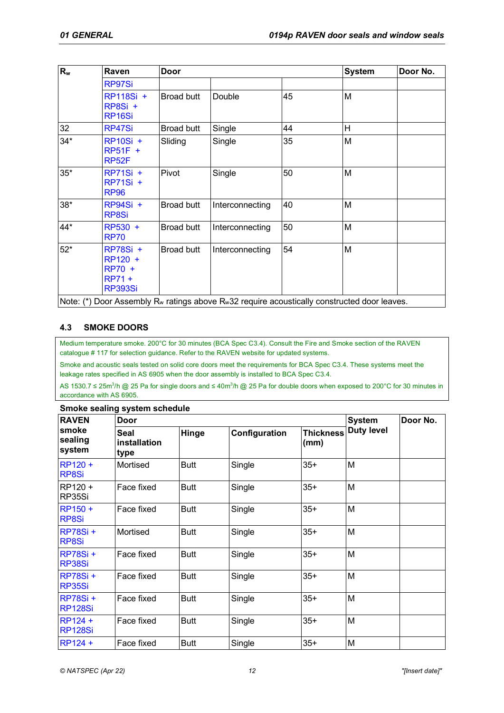| Raven                                                            | <b>Door</b>       |                 | <b>System</b> | Door No. |  |
|------------------------------------------------------------------|-------------------|-----------------|---------------|----------|--|
| RP97Si                                                           |                   |                 |               |          |  |
| RP118Si +<br>RP8Si +<br>RP <sub>16Si</sub>                       | <b>Broad butt</b> | Double          | 45            | M        |  |
| RP47Si                                                           | Broad butt        | Single          | 44            | H        |  |
| <b>RP10Si +</b><br><b>RP51F +</b><br>RP52F                       | Sliding           | Single          | 35            | M        |  |
| RP71Si +<br>RP71Si +<br><b>RP96</b>                              | Pivot             | Single          | 50            | M        |  |
| RP94Si +<br>RP8Si                                                | <b>Broad butt</b> | Interconnecting | 40            | M        |  |
| RP530 +<br><b>RP70</b>                                           | <b>Broad butt</b> | Interconnecting | 50            | M        |  |
| RP78Si +<br>RP120 +<br>RP70 +<br><b>RP71 +</b><br><b>RP393Si</b> | <b>Broad butt</b> | Interconnecting | 54            | M        |  |
|                                                                  |                   |                 |               |          |  |

# **4.3 SMOKE DOORS**

Medium temperature smoke. 200°C for 30 minutes (BCA Spec C3.4). Consult the Fire and Smoke section of the RAVEN catalogue # 117 for selection guidance. Refer to the RAVEN website for updated systems.

Smoke and acoustic seals tested on solid core doors meet the requirements for BCA Spec C3.4. These systems meet the leakage rates specified in AS 6905 when the door assembly is installed to BCA Spec C3.4.

AS 1530.7 ≤ 25m<sup>3</sup>/h @ 25 Pa for single doors and ≤ 40m<sup>3</sup>/h @ 25 Pa for double doors when exposed to 200°C for 30 minutes in accordance with AS 6905.

#### **Smoke sealing system schedule**

| <b>RAVEN</b>                  | <b>Door</b>                         |             | <b>System</b> | Door No.                 |                   |  |
|-------------------------------|-------------------------------------|-------------|---------------|--------------------------|-------------------|--|
| smoke<br>sealing<br>system    | <b>Seal</b><br>installation<br>type | Hinge       | Configuration | <b>Thickness</b><br>(mm) | <b>Duty level</b> |  |
| <b>RP120+</b><br>RP8Si        | Mortised                            | <b>Butt</b> | Single        | $35+$                    | M                 |  |
| RP120 +<br>RP35Si             | Face fixed                          | <b>Butt</b> | Single        | $35+$                    | M                 |  |
| <b>RP150+</b><br><b>RP8Si</b> | Face fixed                          | <b>Butt</b> | Single        | $35+$                    | M                 |  |
| RP78Si+<br><b>RP8Si</b>       | Mortised                            | <b>Butt</b> | Single        | $35+$                    | M                 |  |
| RP78Si+<br>RP38Si             | Face fixed                          | <b>Butt</b> | Single        | $35+$                    | M                 |  |
| RP78Si+<br>RP35Si             | Face fixed                          | <b>Butt</b> | Single        | $35+$                    | M                 |  |
| <b>RP78Si +</b><br>RP128Si    | Face fixed                          | <b>Butt</b> | Single        | $35+$                    | M                 |  |
| <b>RP124 +</b><br>RP128Si     | Face fixed                          | <b>Butt</b> | Single        | $35+$                    | M                 |  |
| RP124 +                       | Face fixed                          | <b>Butt</b> | Single        | $35+$                    | M                 |  |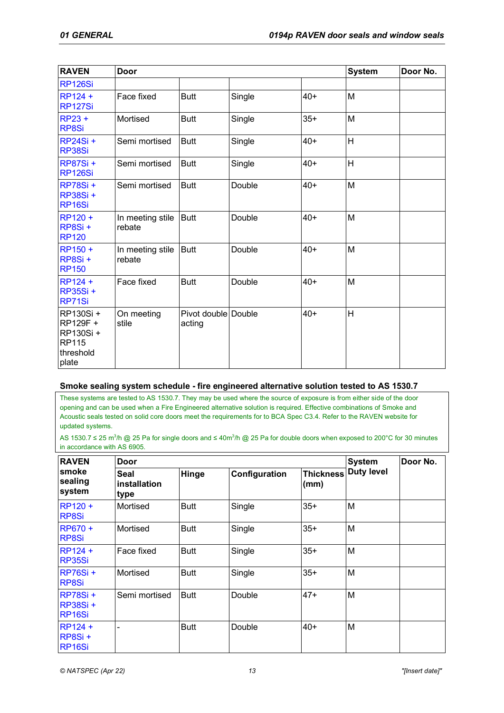| <b>RAVEN</b>                                                                   | <b>Door</b>                |                               |        |       | <b>System</b>  | Door No. |
|--------------------------------------------------------------------------------|----------------------------|-------------------------------|--------|-------|----------------|----------|
| <b>RP126Si</b>                                                                 |                            |                               |        |       |                |          |
| RP124 +<br><b>RP127Si</b>                                                      | Face fixed                 | <b>Butt</b>                   | Single | $40+$ | M              |          |
| $RP23 +$<br>RP8Si                                                              | Mortised                   | <b>Butt</b>                   | Single | $35+$ | M              |          |
| <b>RP24Si +</b><br>RP38Si                                                      | Semi mortised              | <b>Butt</b>                   | Single | $40+$ | $\overline{H}$ |          |
| <b>RP87Si +</b><br><b>RP126Si</b>                                              | Semi mortised              | <b>Butt</b>                   | Single | $40+$ | H              |          |
| <b>RP78Si +</b><br>RP38Si+<br>RP <sub>16Si</sub>                               | Semi mortised              | <b>Butt</b>                   | Double | $40+$ | M              |          |
| RP120+<br>RP8Si+<br><b>RP120</b>                                               | In meeting stile<br>rebate | <b>Butt</b>                   | Double | $40+$ | M              |          |
| RP150+<br>RP8Si+<br><b>RP150</b>                                               | In meeting stile<br>rebate | <b>Butt</b>                   | Double | $40+$ | M              |          |
| RP124 +<br><b>RP35Si +</b><br>RP71Si                                           | Face fixed                 | <b>Butt</b>                   | Double | $40+$ | M              |          |
| RP130Si +<br><b>RP129F +</b><br>RP130Si+<br><b>RP115</b><br>threshold<br>plate | On meeting<br>stile        | Pivot double Double<br>acting |        | $40+$ | H              |          |

#### **Smoke sealing system schedule - fire engineered alternative solution tested to AS 1530.7**

These systems are tested to AS 1530.7. They may be used where the source of exposure is from either side of the door opening and can be used when a Fire Engineered alternative solution is required. Effective combinations of Smoke and Acoustic seals tested on solid core doors meet the requirements for to BCA Spec C3.4. Refer to the RAVEN website for updated systems.

AS 1530.7 ≤ 25 m<sup>3</sup>/h @ 25 Pa for single doors and ≤ 40m<sup>3</sup>/h @ 25 Pa for double doors when exposed to 200°C for 30 minutes in accordance with AS 6905.

| <b>RAVEN</b>                                             | Door                                |             |               |                          | <b>System</b>     | Door No. |
|----------------------------------------------------------|-------------------------------------|-------------|---------------|--------------------------|-------------------|----------|
| lsmoke<br>sealing<br>system                              | <b>Seal</b><br>installation<br>type | Hinge       | Configuration | <b>Thickness</b><br>(mm) | <b>Duty level</b> |          |
| RP120+<br>RP8Si                                          | Mortised                            | <b>Butt</b> | Single        | $35+$                    | M                 |          |
| RP670+<br>RP8Si                                          | Mortised                            | <b>Butt</b> | Single        | $35+$                    | M                 |          |
| RP124 +<br>RP35Si                                        | Face fixed                          | <b>Butt</b> | Single        | $35+$                    | M                 |          |
| <b>RP76Si +</b><br>RP8Si                                 | Mortised                            | <b>Butt</b> | Single        | $35+$                    | M                 |          |
| <b>RP78Si +</b><br><b>RP38Si +</b><br>RP <sub>16Si</sub> | Semi mortised                       | <b>Butt</b> | Double        | $47+$                    | M                 |          |
| RP124 +<br>RP8Si+<br>RP <sub>16Si</sub>                  |                                     | <b>Butt</b> | Double        | $40+$                    | M                 |          |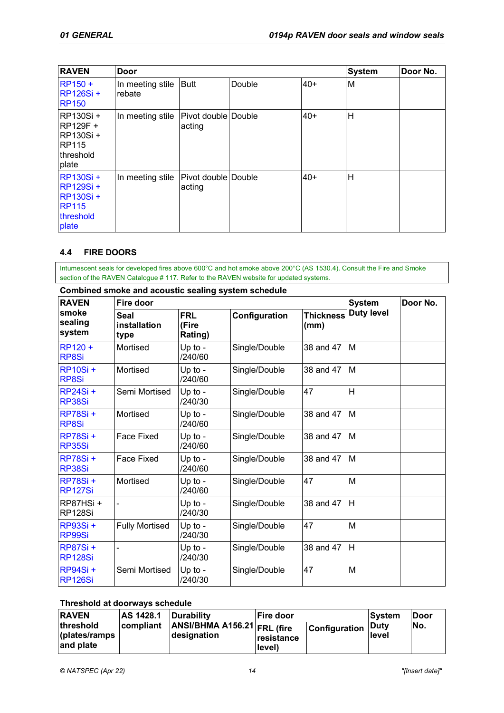| <b>RAVEN</b>                                                                                   | Door                       |                               |        |       | <b>System</b> | Door No. |
|------------------------------------------------------------------------------------------------|----------------------------|-------------------------------|--------|-------|---------------|----------|
| RP150+<br><b>RP126Si +</b><br><b>RP150</b>                                                     | In meeting stile<br>rebate | <b>Butt</b>                   | Double | $40+$ | M             |          |
| RP130Si +<br><b>RP129F +</b><br><b>RP130Si +</b><br><b>RP115</b><br>threshold<br>plate         | In meeting stile           | Pivot double Double<br>acting |        | $40+$ | н             |          |
| <b>RP130Si +</b><br><b>RP129Si +</b><br><b>RP130Si +</b><br><b>RP115</b><br>threshold<br>plate | In meeting stile           | Pivot double Double<br>acting |        | $40+$ | H             |          |

## **4.4 FIRE DOORS**

Intumescent seals for developed fires above 600°C and hot smoke above 200°C (AS 1530.4). Consult the Fire and Smoke section of the RAVEN Catalogue # 117. Refer to the RAVEN website for updated systems.

| <b>RAVEN</b>                      | Fire door                    | <b>System</b>                  | Door No.      |                          |                   |  |
|-----------------------------------|------------------------------|--------------------------------|---------------|--------------------------|-------------------|--|
| smoke<br>sealing<br>system        | Seal<br>installation<br>type | <b>FRL</b><br>(Fire<br>Rating) | Configuration | <b>Thickness</b><br>(mm) | <b>Duty level</b> |  |
| RP120+<br>RP8Si                   | Mortised                     | Up to -<br>/240/60             | Single/Double | 38 and 47                | M                 |  |
| <b>RP10Si +</b><br>RP8Si          | Mortised                     | Up to -<br>/240/60             | Single/Double | 38 and 47                | M                 |  |
| <b>RP24Si +</b><br>RP38Si         | Semi Mortised                | Up to -<br>/240/30             | Single/Double | 47                       | H                 |  |
| <b>RP78Si +</b><br>RP8Si          | Mortised                     | Up to -<br>/240/60             | Single/Double | 38 and 47                | M                 |  |
| <b>RP78Si +</b><br>RP35Si         | <b>Face Fixed</b>            | Up to -<br>/240/60             | Single/Double | 38 and 47                | M                 |  |
| <b>RP78Si +</b><br>RP38Si         | <b>Face Fixed</b>            | Up to -<br>/240/60             | Single/Double | 38 and 47                | M                 |  |
| <b>RP78Si +</b><br><b>RP127Si</b> | Mortised                     | Up to -<br>/240/60             | Single/Double | 47                       | M                 |  |
| RP87HSi+<br>RP128Si               |                              | Up to -<br>/240/30             | Single/Double | 38 and 47                | lн                |  |
| <b>RP93Si +</b><br>RP99Si         | <b>Fully Mortised</b>        | Up to -<br>/240/30             | Single/Double | 47                       | M                 |  |
| <b>RP87Si +</b><br>RP128Si        |                              | Up to -<br>/240/30             | Single/Double | 38 and 47                | H                 |  |
| <b>RP94Si +</b><br>RP126Si        | Semi Mortised                | Up to -<br>/240/30             | Single/Double | 47                       | M                 |  |

# **Combined smoke and acoustic sealing system schedule**

## **Threshold at doorways schedule**

| <b>RAVEN</b>                                   | <b>AS 1428.1</b> | <b>IDurability</b>                             | <b>IFire door</b>            |               | <b>Svstem</b>         | <b>IDoor</b> |
|------------------------------------------------|------------------|------------------------------------------------|------------------------------|---------------|-----------------------|--------------|
| <b>threshold</b><br>(plates/ramps<br>and plate | compliant        | .   ANSI/BHMA A156.21 FRL (fire<br>designation | <b>resistance</b><br>llevel) | Configuration | <b>Duty</b><br>llevel | No.          |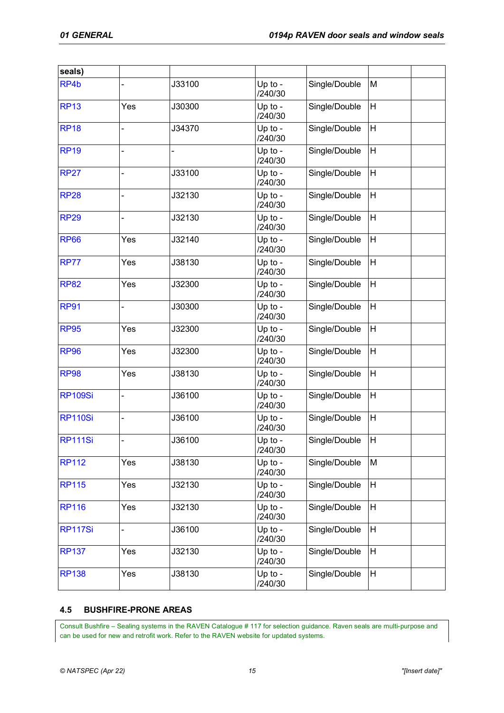| seals)         |     |        |                      |               |    |  |
|----------------|-----|--------|----------------------|---------------|----|--|
| RP4b           |     | J33100 | Up to -<br>/240/30   | Single/Double | M  |  |
| <b>RP13</b>    | Yes | J30300 | Up to -<br>/240/30   | Single/Double | H  |  |
| <b>RP18</b>    |     | J34370 | Up to $-$<br>/240/30 | Single/Double | H  |  |
| <b>RP19</b>    |     |        | Up to -<br>/240/30   | Single/Double | H  |  |
| <b>RP27</b>    |     | J33100 | Up to -<br>/240/30   | Single/Double | H  |  |
| <b>RP28</b>    |     | J32130 | Up to -<br>/240/30   | Single/Double | H  |  |
| <b>RP29</b>    |     | J32130 | Up to -<br>/240/30   | Single/Double | H  |  |
| <b>RP66</b>    | Yes | J32140 | Up to -<br>/240/30   | Single/Double | Iн |  |
| <b>RP77</b>    | Yes | J38130 | Up to -<br>/240/30   | Single/Double | H  |  |
| <b>RP82</b>    | Yes | J32300 | Up to -<br>/240/30   | Single/Double | Н  |  |
| <b>RP91</b>    |     | J30300 | Up to $-$<br>/240/30 | Single/Double | H  |  |
| <b>RP95</b>    | Yes | J32300 | Up to $-$<br>/240/30 | Single/Double | H  |  |
| <b>RP96</b>    | Yes | J32300 | Up to -<br>/240/30   | Single/Double | H  |  |
| <b>RP98</b>    | Yes | J38130 | Up to $-$<br>/240/30 | Single/Double | H  |  |
| <b>RP109Si</b> |     | J36100 | Up to -<br>/240/30   | Single/Double | H  |  |
| RP110Si        |     | J36100 | Up to -<br>/240/30   | Single/Double | H  |  |
| RP111Si        |     | J36100 | Up to -<br>/240/30   | Single/Double | lн |  |
| <b>RP112</b>   | Yes | J38130 | Up to -<br>/240/30   | Single/Double | M  |  |
| <b>RP115</b>   | Yes | J32130 | Up to -<br>/240/30   | Single/Double | H. |  |
| <b>RP116</b>   | Yes | J32130 | Up to -<br>/240/30   | Single/Double | H. |  |
| RP117Si        | -   | J36100 | Up to -<br>/240/30   | Single/Double | H  |  |
| <b>RP137</b>   | Yes | J32130 | Up to -<br>/240/30   | Single/Double | H  |  |
| <b>RP138</b>   | Yes | J38130 | Up to -<br>/240/30   | Single/Double | H  |  |

## **4.5 BUSHFIRE-PRONE AREAS**

Consult Bushfire – Sealing systems in the RAVEN Catalogue # 117 for selection guidance. Raven seals are multi-purpose and can be used for new and retrofit work. Refer to the RAVEN website for updated systems.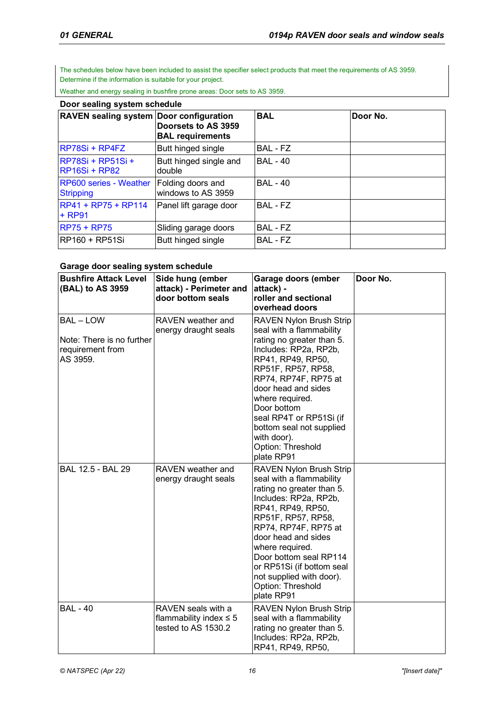The schedules below have been included to assist the specifier select products that meet the requirements of AS 3959. Determine if the information is suitable for your project.

Weather and energy sealing in bushfire prone areas: Door sets to AS 3959.

| Door sealing system schedule                      |                                                |                 |          |  |  |  |
|---------------------------------------------------|------------------------------------------------|-----------------|----------|--|--|--|
| <b>RAVEN</b> sealing system Door configuration    | Doorsets to AS 3959<br><b>BAL requirements</b> | <b>BAL</b>      | Door No. |  |  |  |
| RP78Si + RP4FZ                                    | Butt hinged single                             | <b>BAL - FZ</b> |          |  |  |  |
| RP78Si + RP51Si +<br><b>RP16Si + RP82</b>         | Butt hinged single and<br>double               | <b>BAL - 40</b> |          |  |  |  |
| <b>RP600 series - Weather</b><br><b>Stripping</b> | Folding doors and<br>windows to AS 3959        | <b>BAL - 40</b> |          |  |  |  |
| RP41 + RP75 + RP114<br>$+$ RP91                   | Panel lift garage door                         | <b>BAL - FZ</b> |          |  |  |  |
| <b>RP75 + RP75</b>                                | Sliding garage doors                           | <b>BAL - FZ</b> |          |  |  |  |
| RP160 + RP51Si                                    | Butt hinged single                             | BAL - FZ        |          |  |  |  |

## **Garage door sealing system schedule**

| <b>Bushfire Attack Level</b><br>(BAL) to AS 3959                            | Side hung (ember<br>attack) - Perimeter and<br>door bottom seals         | Garage doors (ember<br>attack) -<br>roller and sectional<br>overhead doors                                                                                                                                                                                                                                                                            | Door No. |
|-----------------------------------------------------------------------------|--------------------------------------------------------------------------|-------------------------------------------------------------------------------------------------------------------------------------------------------------------------------------------------------------------------------------------------------------------------------------------------------------------------------------------------------|----------|
| <b>BAL-LOW</b><br>Note: There is no further<br>requirement from<br>AS 3959. | RAVEN weather and<br>energy draught seals                                | <b>RAVEN Nylon Brush Strip</b><br>seal with a flammability<br>rating no greater than 5.<br>Includes: RP2a, RP2b,<br>RP41, RP49, RP50,<br>RP51F, RP57, RP58,<br>RP74, RP74F, RP75 at<br>door head and sides<br>where required.<br>Door bottom<br>seal RP4T or RP51Si (if<br>bottom seal not supplied<br>with door).<br>Option: Threshold<br>plate RP91 |          |
| BAL 12.5 - BAL 29                                                           | RAVEN weather and<br>energy draught seals                                | <b>RAVEN Nylon Brush Strip</b><br>seal with a flammability<br>rating no greater than 5.<br>Includes: RP2a, RP2b,<br>RP41, RP49, RP50,<br>RP51F, RP57, RP58,<br>RP74, RP74F, RP75 at<br>door head and sides<br>where required.<br>Door bottom seal RP114<br>or RP51Si (if bottom seal<br>not supplied with door).<br>Option: Threshold<br>plate RP91   |          |
| <b>BAL - 40</b>                                                             | RAVEN seals with a<br>flammability index $\leq 5$<br>tested to AS 1530.2 | <b>RAVEN Nylon Brush Strip</b><br>seal with a flammability<br>rating no greater than 5.<br>Includes: RP2a, RP2b,<br>RP41, RP49, RP50,                                                                                                                                                                                                                 |          |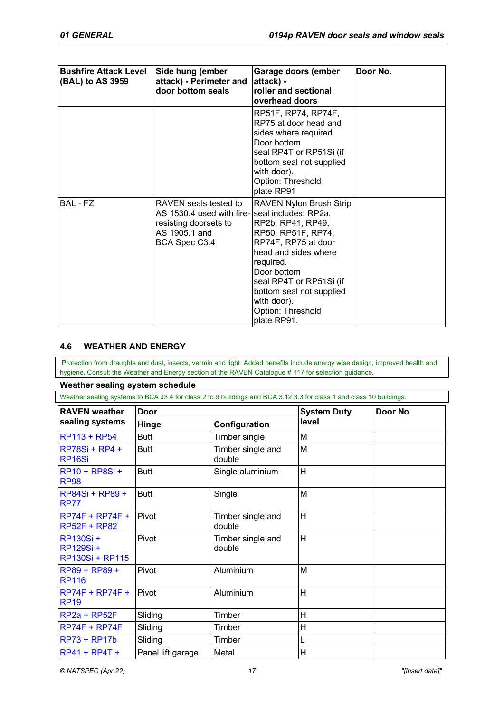| <b>Bushfire Attack Level</b><br>(BAL) to AS 3959 | Side hung (ember<br>attack) - Perimeter and<br>door bottom seals                                              | Garage doors (ember<br>attack) -<br>roller and sectional<br>overhead doors                                                                                                                                                                                                      | Door No. |
|--------------------------------------------------|---------------------------------------------------------------------------------------------------------------|---------------------------------------------------------------------------------------------------------------------------------------------------------------------------------------------------------------------------------------------------------------------------------|----------|
|                                                  |                                                                                                               | RP51F, RP74, RP74F,<br>RP75 at door head and<br>sides where required.<br>Door bottom<br>seal RP4T or RP51Si (if<br>bottom seal not supplied<br>with door).<br>Option: Threshold<br>plate RP91                                                                                   |          |
| BAL - FZ                                         | RAVEN seals tested to<br>AS 1530.4 used with fire-<br>resisting doorsets to<br>AS 1905.1 and<br>BCA Spec C3.4 | RAVEN Nylon Brush Strip<br>seal includes: RP2a,<br>RP2b, RP41, RP49,<br>RP50, RP51F, RP74,<br>RP74F, RP75 at door<br>head and sides where<br>required.<br>Door bottom<br>seal RP4T or RP51Si (if<br>bottom seal not supplied<br>with door).<br>Option: Threshold<br>plate RP91. |          |

## **4.6 WEATHER AND ENERGY**

Protection from draughts and dust, insects, vermin and light. Added benefits include energy wise design, improved health and hygiene. Consult the Weather and Energy section of the RAVEN Catalogue # 117 for selection guidance.

#### **Weather sealing system schedule**

Weather sealing systems to BCA J3.4 for class 2 to 9 buildings and BCA 3.12.3.3 for class 1 and class 10 buildings.

| <b>RAVEN</b> weather                             | <b>Door</b>            |                             | <b>System Duty</b> | Door No |
|--------------------------------------------------|------------------------|-----------------------------|--------------------|---------|
| sealing systems                                  | Configuration<br>Hinge |                             | level              |         |
| RP113 + RP54                                     | <b>Butt</b>            | Timber single               | м                  |         |
| RP78Si + RP4 +<br>RP <sub>16Si</sub>             | <b>Butt</b>            | Timber single and<br>double | M                  |         |
| RP10 + RP8Si +<br><b>RP98</b>                    | <b>Butt</b>            | Single aluminium            | H                  |         |
| RP84Si + RP89 +<br><b>RP77</b>                   | <b>Butt</b>            | Single                      | M                  |         |
| $RP74F + RP74F +$<br><b>RP52F + RP82</b>         | Pivot                  | Timber single and<br>double | H                  |         |
| <b>RP130Si +</b><br>RP129Si +<br>RP130Si + RP115 | Pivot                  | Timber single and<br>double | H                  |         |
| RP89 + RP89 +<br><b>RP116</b>                    | Pivot                  | Aluminium                   | M                  |         |
| $RP74F + RP74F +$<br><b>RP19</b>                 | Pivot                  | Aluminium                   | H                  |         |
| $RP2a + RP52F$                                   | Sliding                | Timber                      | H                  |         |
| RP74F + RP74F                                    | Sliding                | Timber                      | Η                  |         |
| <b>RP73 + RP17b</b>                              | Sliding                | Timber                      |                    |         |
| RP41 + RP4T +                                    | Panel lift garage      | Metal                       | H                  |         |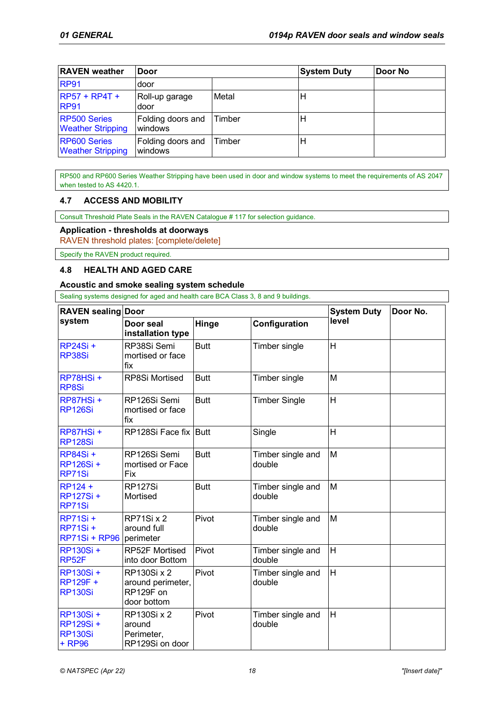| <b>RAVEN</b> weather                            | <b>Door</b>                  |        | <b>System Duty</b> | Door No |
|-------------------------------------------------|------------------------------|--------|--------------------|---------|
| <b>RP91</b>                                     | door                         |        |                    |         |
| $RP57 + RP4T +$<br><b>RP91</b>                  | Roll-up garage<br>door       | Metal  | H                  |         |
| <b>RP500 Series</b><br><b>Weather Stripping</b> | Folding doors and<br>windows | Timber | н                  |         |
| <b>RP600 Series</b><br><b>Weather Stripping</b> | Folding doors and<br>windows | Timber | H                  |         |

RP500 and RP600 Series Weather Stripping have been used in door and window systems to meet the requirements of AS 2047 when tested to AS 4420.1.

## **4.7 ACCESS AND MOBILITY**

Consult Threshold Plate Seals in the RAVEN Catalogue # 117 for selection guidance.

#### **Application - thresholds at doorways**

#### RAVEN threshold plates: [complete/delete]

Specify the RAVEN product required.

#### **4.8 HEALTH AND AGED CARE**

#### **Acoustic and smoke sealing system schedule**

Sealing systems designed for aged and health care BCA Class 3, 8 and 9 buildings.

| <b>RAVEN sealing Door</b>                                  |                                                              |                        | <b>System Duty</b>          | Door No. |  |
|------------------------------------------------------------|--------------------------------------------------------------|------------------------|-----------------------------|----------|--|
| system                                                     | Door seal<br>installation type                               | Configuration<br>Hinge |                             | level    |  |
| RP24Si+<br>RP38Si                                          | RP38Si Semi<br>mortised or face<br>fix                       | <b>Butt</b>            | Timber single               | H        |  |
| RP78HSi+<br>RP8Si                                          | <b>RP8Si Mortised</b>                                        | <b>Butt</b>            | Timber single               | M        |  |
| RP87HSi+<br>RP126Si                                        | RP126Si Semi<br>mortised or face<br>fix                      | <b>Butt</b>            | <b>Timber Single</b>        | H        |  |
| RP87HSi+<br>RP128Si                                        | RP128Si Face fix Butt                                        |                        | Single                      | H        |  |
| <b>RP84Si +</b><br><b>RP126Si +</b><br>RP71Si              | RP126Si Semi<br>mortised or Face<br>Fix                      | <b>Butt</b>            | Timber single and<br>double | M        |  |
| RP124 +<br>RP127Si +<br>RP71Si                             | RP127Si<br>Mortised                                          | <b>Butt</b>            | Timber single and<br>double | M        |  |
| <b>RP71Si +</b><br><b>RP71Si +</b><br><b>RP71Si + RP96</b> | RP71Si x 2<br>around full<br>perimeter                       | Pivot                  | Timber single and<br>double | M        |  |
| <b>RP130Si +</b><br>RP52F                                  | <b>RP52F Mortised</b><br>into door Bottom                    | Pivot                  | Timber single and<br>double | H        |  |
| <b>RP130Si +</b><br><b>RP129F +</b><br><b>RP130Si</b>      | RP130Si x 2<br>around perimeter,<br>RP129F on<br>door bottom | Pivot                  | Timber single and<br>double | H        |  |
| <b>RP130Si +</b><br>RP129Si +<br><b>RP130Si</b><br>+ RP96  | RP130Si x 2<br>around<br>Perimeter,<br>RP129Si on door       | Pivot                  | Timber single and<br>double | H        |  |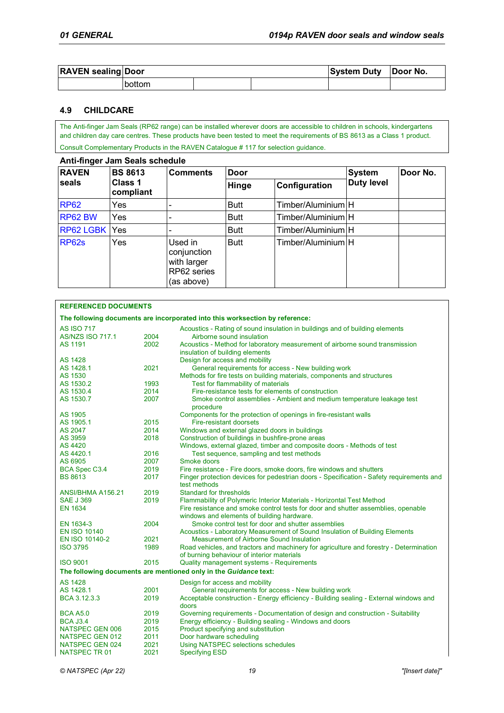| <b>RAVEN sealing Door</b> |        |  | System Duty   Door No. |  |
|---------------------------|--------|--|------------------------|--|
|                           | bottom |  |                        |  |

## **4.9 CHILDCARE**

The Anti-finger Jam Seals (RP62 range) can be installed wherever doors are accessible to children in schools, kindergartens and children day care centres. These products have been tested to meet the requirements of BS 8613 as a Class 1 product.

Consult Complementary Products in the RAVEN Catalogue # 117 for selection guidance.

#### **Anti-finger Jam Seals schedule**

| <b>RAVEN</b>         | <b>BS 8613</b><br><b>Class 1</b><br>compliant | <b>Comments</b>                                                    | Door        |                    | <b>System</b><br><b>Duty level</b> | Door No. |
|----------------------|-----------------------------------------------|--------------------------------------------------------------------|-------------|--------------------|------------------------------------|----------|
| seals                |                                               |                                                                    | Hinge       | Configuration      |                                    |          |
| <b>RP62</b>          | Yes                                           |                                                                    | <b>Butt</b> | Timber/Aluminium H |                                    |          |
| RP62 BW              | Yes                                           |                                                                    | <b>Butt</b> | Timber/Aluminium H |                                    |          |
| <b>RP62 LGBK Yes</b> |                                               |                                                                    | <b>Butt</b> | Timber/Aluminium H |                                    |          |
| <b>RP62s</b>         | Yes                                           | Used in<br>conjunction<br>with larger<br>RP62 series<br>(as above) | <b>Butt</b> | Timber/Aluminium H |                                    |          |

| <b>REFERENCED DOCUMENTS</b>                                                  |      |                                                                                          |  |  |  |  |
|------------------------------------------------------------------------------|------|------------------------------------------------------------------------------------------|--|--|--|--|
| The following documents are incorporated into this worksection by reference: |      |                                                                                          |  |  |  |  |
| <b>AS ISO 717</b>                                                            |      | Acoustics - Rating of sound insulation in buildings and of building elements             |  |  |  |  |
| <b>AS/NZS ISO 717.1</b>                                                      | 2004 | Airborne sound insulation                                                                |  |  |  |  |
| AS 1191                                                                      | 2002 | Acoustics - Method for laboratory measurement of airborne sound transmission             |  |  |  |  |
|                                                                              |      | insulation of building elements                                                          |  |  |  |  |
| <b>AS 1428</b>                                                               |      | Design for access and mobility                                                           |  |  |  |  |
| AS 1428.1                                                                    | 2021 | General requirements for access - New building work                                      |  |  |  |  |
| AS 1530                                                                      |      | Methods for fire tests on building materials, components and structures                  |  |  |  |  |
| AS 1530.2                                                                    | 1993 | Test for flammability of materials                                                       |  |  |  |  |
| AS 1530.4                                                                    | 2014 | Fire-resistance tests for elements of construction                                       |  |  |  |  |
| AS 1530.7                                                                    | 2007 | Smoke control assemblies - Ambient and medium temperature leakage test                   |  |  |  |  |
|                                                                              |      | procedure                                                                                |  |  |  |  |
| AS 1905                                                                      |      | Components for the protection of openings in fire-resistant walls                        |  |  |  |  |
| AS 1905.1                                                                    | 2015 | <b>Fire-resistant doorsets</b>                                                           |  |  |  |  |
| AS 2047                                                                      | 2014 | Windows and external glazed doors in buildings                                           |  |  |  |  |
| AS 3959                                                                      | 2018 | Construction of buildings in bushfire-prone areas                                        |  |  |  |  |
| AS 4420                                                                      |      | Windows, external glazed, timber and composite doors - Methods of test                   |  |  |  |  |
| AS 4420.1                                                                    | 2016 | Test sequence, sampling and test methods                                                 |  |  |  |  |
| AS 6905                                                                      | 2007 | Smoke doors                                                                              |  |  |  |  |
| BCA Spec C3.4                                                                | 2019 | Fire resistance - Fire doors, smoke doors, fire windows and shutters                     |  |  |  |  |
| <b>BS 8613</b>                                                               | 2017 | Finger protection devices for pedestrian doors - Specification - Safety requirements and |  |  |  |  |
|                                                                              |      | test methods                                                                             |  |  |  |  |
| ANSI/BHMA A156.21                                                            | 2019 | Standard for thresholds                                                                  |  |  |  |  |
| <b>SAE J 369</b>                                                             | 2019 | Flammability of Polymeric Interior Materials - Horizontal Test Method                    |  |  |  |  |
| <b>EN 1634</b>                                                               |      | Fire resistance and smoke control tests for door and shutter assemblies, openable        |  |  |  |  |
|                                                                              |      | windows and elements of building hardware.                                               |  |  |  |  |
| EN 1634-3                                                                    | 2004 | Smoke control test for door and shutter assemblies                                       |  |  |  |  |
| <b>EN ISO 10140</b>                                                          |      | Acoustics - Laboratory Measurement of Sound Insulation of Building Elements              |  |  |  |  |
| EN ISO 10140-2                                                               | 2021 | Measurement of Airborne Sound Insulation                                                 |  |  |  |  |
| <b>ISO 3795</b>                                                              | 1989 | Road vehicles, and tractors and machinery for agriculture and forestry - Determination   |  |  |  |  |
|                                                                              |      | of burning behaviour of interior materials                                               |  |  |  |  |
| <b>ISO 9001</b>                                                              | 2015 | <b>Quality management systems - Requirements</b>                                         |  |  |  |  |
| The following documents are mentioned only in the Guidance text:             |      |                                                                                          |  |  |  |  |
| AS 1428                                                                      |      | Design for access and mobility                                                           |  |  |  |  |
| AS 1428.1                                                                    | 2001 | General requirements for access - New building work                                      |  |  |  |  |
| BCA 3.12.3.3                                                                 | 2019 | Acceptable construction - Energy efficiency - Building sealing - External windows and    |  |  |  |  |
|                                                                              |      | doors                                                                                    |  |  |  |  |
| <b>BCA A5.0</b>                                                              | 2019 | Governing requirements - Documentation of design and construction - Suitability          |  |  |  |  |
| <b>BCA J3.4</b>                                                              | 2019 | Energy efficiency - Building sealing - Windows and doors                                 |  |  |  |  |
| NATSPEC GEN 006                                                              | 2015 | Product specifying and substitution                                                      |  |  |  |  |
| NATSPEC GEN 012                                                              | 2011 | Door hardware scheduling                                                                 |  |  |  |  |
| NATSPEC GEN 024                                                              | 2021 | Using NATSPEC selections schedules                                                       |  |  |  |  |
| NATSPEC TR 01                                                                | 2021 | <b>Specifying ESD</b>                                                                    |  |  |  |  |
|                                                                              |      |                                                                                          |  |  |  |  |